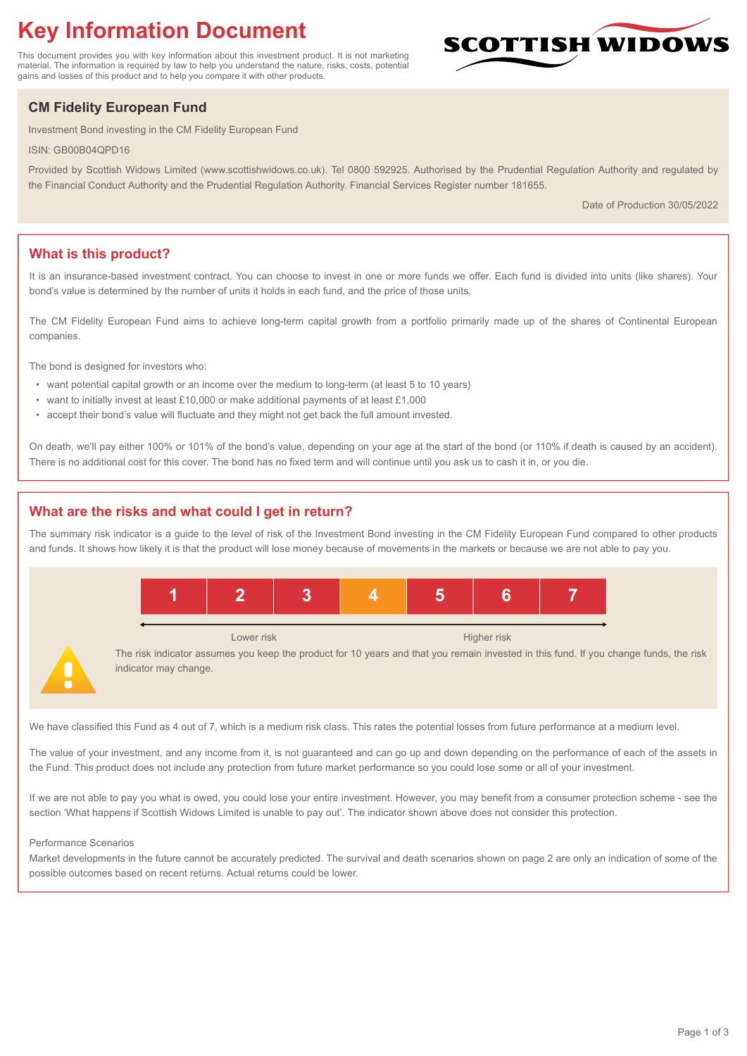# **Key Information Document**

This document provides you with key information about this investment product. It is not marketing material. The information is required by law to help you understand the nature, risks, costs, potential gains and losses of this product and to help you compare it with other products.

## **CM Fidelity European Fund**

Investment Bond investing in the CM Fidelity European Fund

ISIN: GB00B04QPD16

Provided by Scottish Widows Limited (www.scottishwidows.co.uk). Tel 0800 592925. Authorised by the Prudential Regulation Authority and regulated by the Financial Conduct Authority and the Prudential Regulation Authority. Financial Services Register number 181655.

Date of Production 30/05/2022

**SCOTTISH WIDOW** 

## **What is this product?**

It is an insurance-based investment contract. You can choose to invest in one or more funds we offer. Each fund is divided into units (like shares). Your bond's value is determined by the number of units it holds in each fund, and the price of those units.

The CM Fidelity European Fund aims to achieve long-term capital growth from a portfolio primarily made up of the shares of Continental European companies.

The bond is designed for investors who:

- want potential capital growth or an income over the medium to long-term (at least 5 to 10 years)
- want to initially invest at least £10,000 or make additional payments of at least £1,000
- accept their bond's value will fluctuate and they might not get back the full amount invested.

On death, we'll pay either 100% or 101% of the bond's value, depending on your age at the start of the bond (or 110% if death is caused by an accident). There is no additional cost for this cover. The bond has no fixed term and will continue until you ask us to cash it in, or you die.

## **What are the risks and what could I get in return?**

The summary risk indicator is a guide to the level of risk of the Investment Bond investing in the CM Fidelity European Fund compared to other products and funds. It shows how likely it is that the product will lose money because of movements in the markets or because we are not able to pay you.



We have classified this Fund as 4 out of 7, which is a medium risk class. This rates the potential losses from future performance at a medium level.

The value of your investment, and any income from it, is not guaranteed and can go up and down depending on the performance of each of the assets in the Fund. This product does not include any protection from future market performance so you could lose some or all of your investment.

If we are not able to pay you what is owed, you could lose your entire investment. However, you may benefit from a consumer protection scheme - see the section 'What happens if Scottish Widows Limited is unable to pay out'. The indicator shown above does not consider this protection.

#### Performance Scenarios

Market developments in the future cannot be accurately predicted. The survival and death scenarios shown on page 2 are only an indication of some of the possible outcomes based on recent returns. Actual returns could be lower.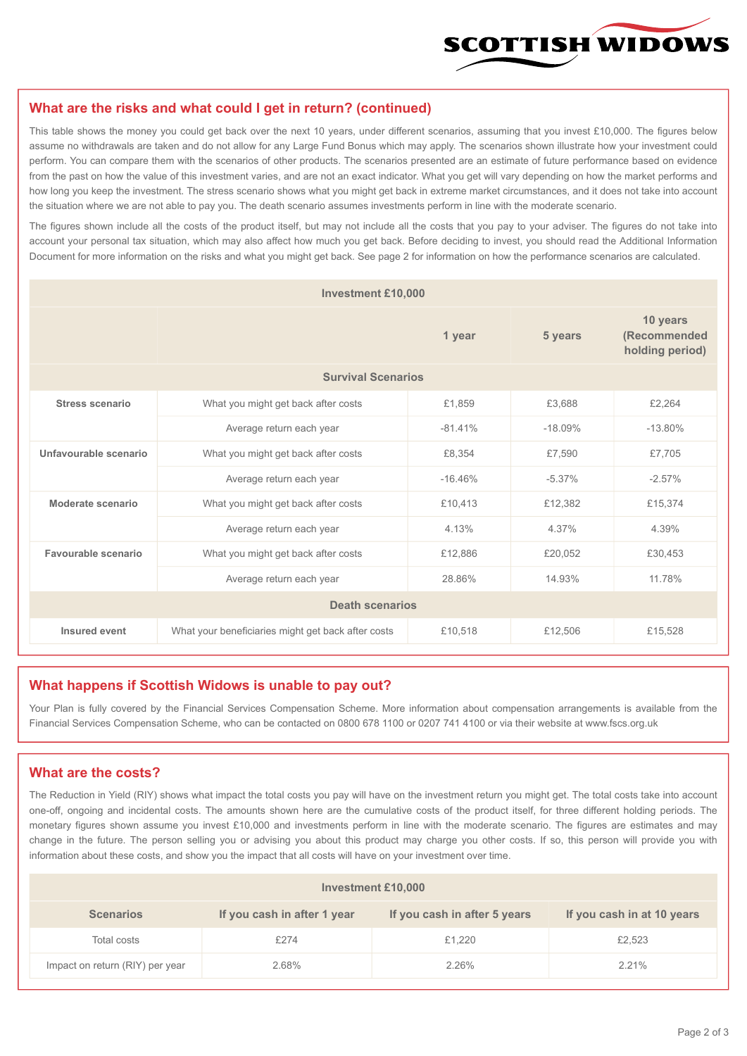

#### **What are the risks and what could I get in return? (continued)**

This table shows the money you could get back over the next 10 years, under different scenarios, assuming that you invest £10,000. The figures below assume no withdrawals are taken and do not allow for any Large Fund Bonus which may apply. The scenarios shown illustrate how your investment could perform. You can compare them with the scenarios of other products. The scenarios presented are an estimate of future performance based on evidence from the past on how the value of this investment varies, and are not an exact indicator. What you get will vary depending on how the market performs and how long you keep the investment. The stress scenario shows what you might get back in extreme market circumstances, and it does not take into account the situation where we are not able to pay you. The death scenario assumes investments perform in line with the moderate scenario.

The figures shown include all the costs of the product itself, but may not include all the costs that you pay to your adviser. The figures do not take into account your personal tax situation, which may also affect how much you get back. Before deciding to invest, you should read the Additional Information Document for more information on the risks and what you might get back. See page 2 for information on how the performance scenarios are calculated.

| <b>Investment £10,000</b> |                                                    |           |           |                                             |  |  |
|---------------------------|----------------------------------------------------|-----------|-----------|---------------------------------------------|--|--|
|                           | 1 year                                             |           | 5 years   | 10 years<br>(Recommended<br>holding period) |  |  |
| <b>Survival Scenarios</b> |                                                    |           |           |                                             |  |  |
| <b>Stress scenario</b>    | £1,859<br>What you might get back after costs      |           | £3,688    | £2,264                                      |  |  |
|                           | Average return each year<br>$-81.41%$              |           | $-18.09%$ | $-13.80%$                                   |  |  |
| Unfavourable scenario     | £8,354<br>What you might get back after costs      |           | £7,590    | £7,705                                      |  |  |
|                           | Average return each year                           | $-16.46%$ | $-5.37%$  | $-2.57%$                                    |  |  |
| Moderate scenario         | What you might get back after costs                | £10,413   | £12,382   | £15,374                                     |  |  |
|                           | Average return each year                           | 4.13%     | 4.37%     | 4.39%                                       |  |  |
| Favourable scenario       | What you might get back after costs                | £12,886   | £20,052   | £30,453                                     |  |  |
|                           | Average return each year                           | 28.86%    | 14.93%    | 11.78%                                      |  |  |
| <b>Death scenarios</b>    |                                                    |           |           |                                             |  |  |
| Insured event             | What your beneficiaries might get back after costs | £10,518   | £12,506   | £15,528                                     |  |  |

#### **What happens if Scottish Widows is unable to pay out?**

Your Plan is fully covered by the Financial Services Compensation Scheme. More information about compensation arrangements is available from the Financial Services Compensation Scheme, who can be contacted on 0800 678 1100 or 0207 741 4100 or via their website at www.fscs.org.uk

### **What are the costs?**

The Reduction in Yield (RIY) shows what impact the total costs you pay will have on the investment return you might get. The total costs take into account one-off, ongoing and incidental costs. The amounts shown here are the cumulative costs of the product itself, for three different holding periods. The monetary figures shown assume you invest £10,000 and investments perform in line with the moderate scenario. The figures are estimates and may change in the future. The person selling you or advising you about this product may charge you other costs. If so, this person will provide you with information about these costs, and show you the impact that all costs will have on your investment over time.

| Investment £10,000              |                             |                              |                            |  |  |  |
|---------------------------------|-----------------------------|------------------------------|----------------------------|--|--|--|
| <b>Scenarios</b>                | If you cash in after 1 year | If you cash in after 5 years | If you cash in at 10 years |  |  |  |
| Total costs                     | £274                        | £1,220                       | £2,523                     |  |  |  |
| Impact on return (RIY) per year | 2.68%                       | 2.26%                        | 2.21%                      |  |  |  |